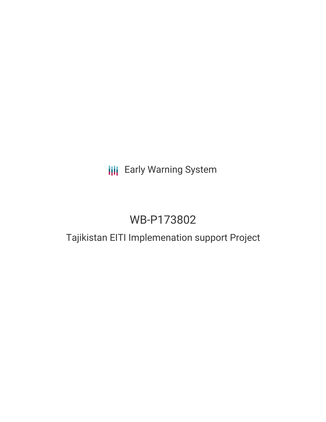## **III** Early Warning System

# WB-P173802

### Tajikistan EITI Implemenation support Project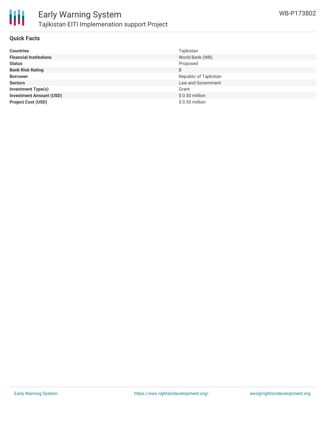

#### **Quick Facts**

| <b>Countries</b>               | Tajikistan             |
|--------------------------------|------------------------|
| <b>Financial Institutions</b>  | World Bank (WB)        |
| <b>Status</b>                  | Proposed               |
| <b>Bank Risk Rating</b>        | B                      |
| <b>Borrower</b>                | Republic of Tajikistan |
| <b>Sectors</b>                 | Law and Government     |
| <b>Investment Type(s)</b>      | Grant                  |
| <b>Investment Amount (USD)</b> | $$0.50$ million        |
| <b>Project Cost (USD)</b>      | \$0.50 million         |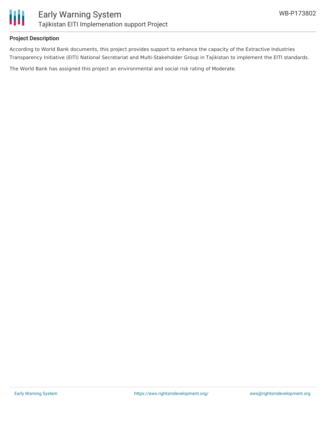

#### **Project Description**

According to World Bank documents, this project provides support to enhance the capacity of the Extractive Industries Transparency Initiative (EITI) National Secretariat and Multi-Stakeholder Group in Tajikistan to implement the EITI standards.

The World Bank has assigned this project an environmental and social risk rating of Moderate.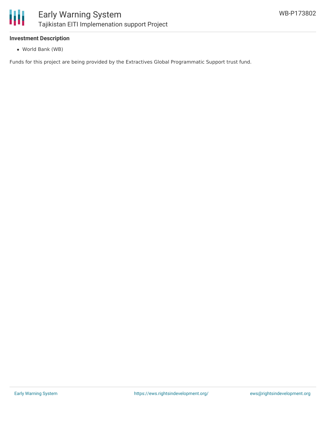

#### **Investment Description**

World Bank (WB)

Funds for this project are being provided by the Extractives Global Programmatic Support trust fund.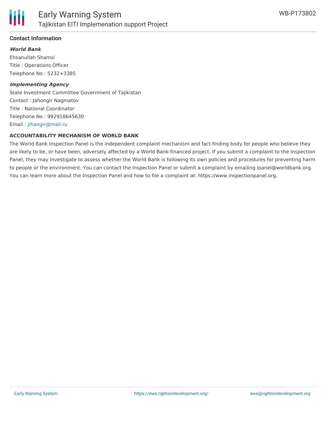

#### **Contact Information**

**World Bank**

Ehsanullah Shamsi Title : Operations Officer Telephone No : 5232+3385

#### **Implementing Agency**

State Investment Committee Government of Tajikistan Contact : Jahongir Nagmatov Title : National Coordinator Telephone No : 992918645630 Email : [jihangir@mail.ru](mailto:jihangir@mail.ru)

#### **ACCOUNTABILITY MECHANISM OF WORLD BANK**

The World Bank Inspection Panel is the independent complaint mechanism and fact-finding body for people who believe they are likely to be, or have been, adversely affected by a World Bank-financed project. If you submit a complaint to the Inspection Panel, they may investigate to assess whether the World Bank is following its own policies and procedures for preventing harm to people or the environment. You can contact the Inspection Panel or submit a complaint by emailing ipanel@worldbank.org. You can learn more about the Inspection Panel and how to file a complaint at: https://www.inspectionpanel.org.